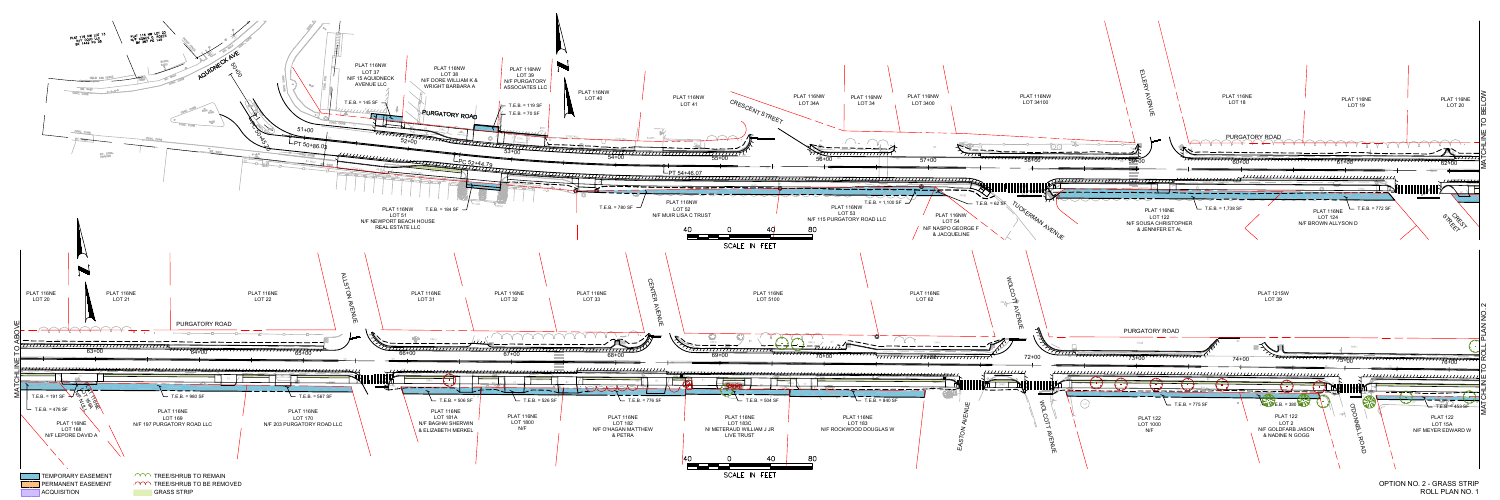